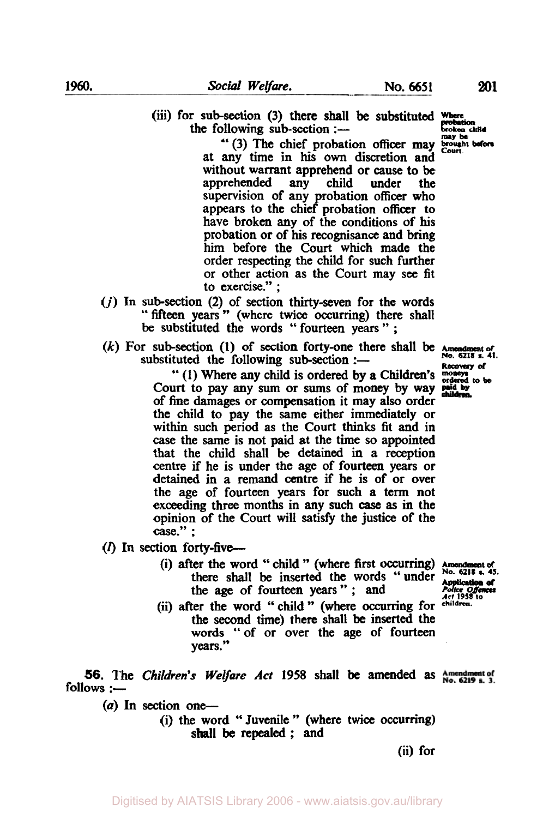(iii) for sub-section (3) there shall be substituted where

the following sub-section  $:$ ---"(3) The chief probation officer may brought at any time in his **own** discretion and without warrant apprehend or cause to be apprehended any child under the supervision of any probation officer who appears to the chief probation officer to have broken any of the conditions of his probation or of his recognisance and bring him before the Court which made the order respecting the child for such further or other action as the Court may see fit to exercise." ;

- *(j)* In sub-section (2) of section thirty-seven for the words "fifteen years" (where twice occurring) there shall be substituted the words "fourteen years";
- substituted the following sub-section  $:$  $(k)$  For sub-section  $(1)$  of section forty-one there shall be

" **(1)** Where any child is ordered by a Children's moneys ordered to **be**  Court to pay any sum or **sums** of money by way of fine damages or compensation it may also order the child to pay the same either immediately or within such **period** as the Court thinks fit and in *case* the same is not paid at the time **so** appointed that the child shall be detained in **a** reception centre if he is under the age of fourteen years or detained in a remand centre if he is of or over the age of fourteen years for such a **term** not exceeding three months in any such *case* **as** in the opinion of the Court will satisfy the justice of the case." ;

 $(l)$  In section forty-five---

- (i) after the word " child " (where first occurring) Amendment of No. 6218 there shall be inserted the words "under the *age* of fourteen years" ; and
- (ii) after the word "child" (where occurring for the second time) there shall be inserted the words "of or over the age of fourteen years ."

**56.** The Children's *Welfare Act* **1958** shall be amended **as**   $follows :=$ 

 $(a)$  In section one-

(i) the word '' Juvenile " (where twice occurring) shall be repealed ; and

(ii) for

**No. 6218 a. 41. Recovery** *of* 

Fouce Offences *Act* **1958 to** 

probation broken child **may be**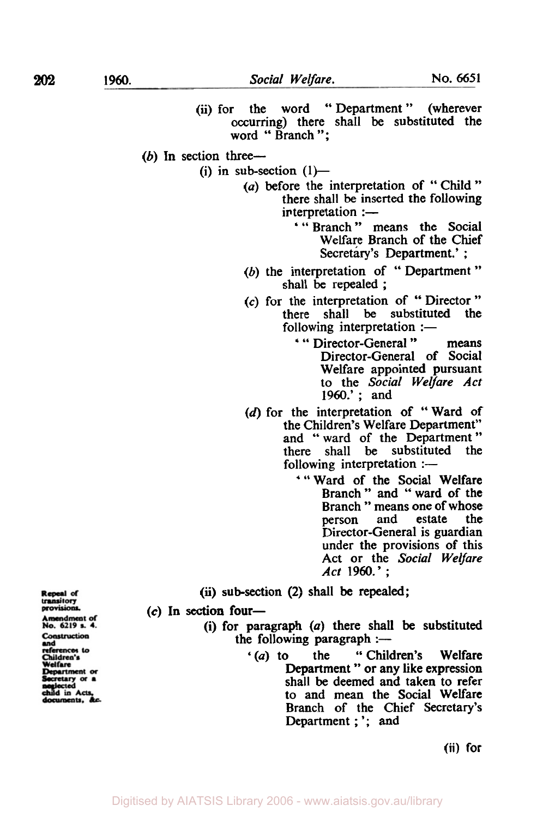**(ii)** for the word " Department " (wherever occurring) there shall be substituted the word " Branch ";  $(b)$  In section three---(i) in sub-section  $(1)$ — *(a)* before the interpretation of "Child" there shall be inserted the following  $interpretation :=$ ' " Branch " means the Social Welfare Branch of the Chief Secretary's Department.' ; (b) the interpretation of " Department " shall be repealed ; *(c)* for the interpretation of " Director " there shall be substituted the following interpretation  $:$ ' " Director-General " means Director-General of Social Welfare appointed pursuant to the *Social Welfare Act*  1960.' ; and (d) for the interpretation of " Ward of the Children's Welfare Department" and "ward of the Department" there shall be substituted the following interpretation  $:$ -' " Ward of the Social Welfare Branch " and " ward of the Branch " means one of whose<br>person and estate the estate Director-General is guardian under the provisions of this Act or the *Social Welfare Act* **1960.'** ; **(ii)** sub-section **(2)** shall be repealed; Repeal of<br>transitory provisions. *(c)* In **section** four-Amendment of<br>No. 6219 s. 4. (i) for paragraph *(a)* there shall be substituted  $t$  paragraph  $(a)$  there shall<br>the following paragraph :-Construction (a) to the "Children's Welfare" references to<br>Children's (a) to the "Children's Welfare<br>Department " or any like expression Welfare Department or cretary or a shall be deemed and taken to refer uld in Acts, to and mean the Social Welfare Branch of the Chief Secretary's

**(ii) for** 

Department ; '; and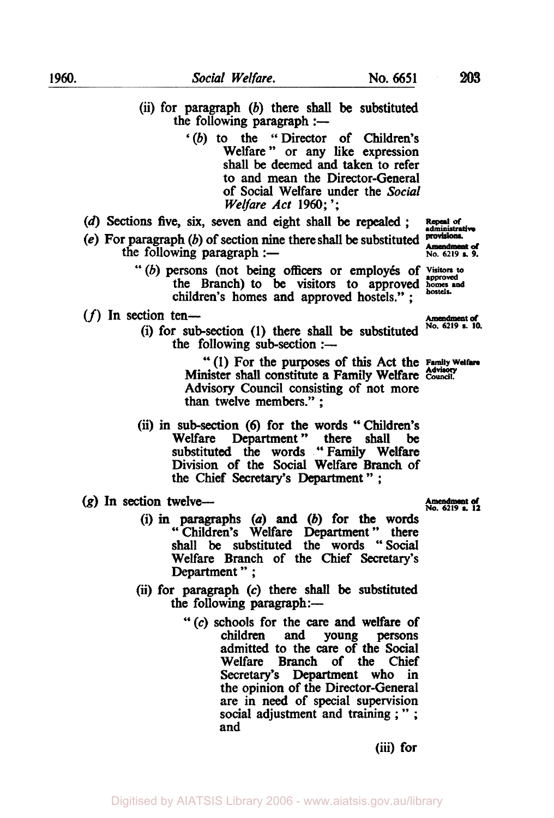- '(b) to the "Director of Children's Welfare" or any like expression shall **be** deemed and taken to refer to and mean the Director-General of Social Welfare under the Social *Welfare* Act **1960;** ';
- **(d) Sections** five, *six,* seven and eight shall be repealed ;

the following paragraph  $:$ --

- (e) For paragraph (b) of section nine there shall be substituted **provisions**. r paragraph (b) of section nine there shall be substituted **Amendment** of<br>the following paragraph :the following paragraph :-<br>
"(b) persons (not being officers or employés of *visitors* to<br>
"(b) persons (not being officers or employés of *visitors* to
	- the Branch) to be visitors to approved homes and children's homes and approved hostels.'';

## **(f)** In section ten- Amendment *d*

(i) for sub-section (1) there shall be substituted  $^{No. 6219}$  s. 10. the following sub-section  $:$ ---

> " (1) For the purposes of this Act the **Family Welfare Advisory** Minister shall constitute a Family Welfare **Council.**  Advisory Council consisting of not more than twelve members." ;

- (ii) in sub-section (6) for the words "Children's<br>Welfare Department" there shall be Department" there shall substituted the words "Family Welfare Division of the **Social** Welfare Branch of the Chief **Secretary's** Department \*' ;
- **NO. 6219 h 12 (g)** In **section** twelve-
	- (i) in paragraphs *(a)* **and** (b) for **the** words " Children's Welfare Department " there shall be substituted the words "Social Welfare Branch of the Chief **Secretary's**  Department " ;
	- (ii) for paragraph *(c)* there shall be substituted the following paragraph:-
		- *"(c)* schools for the care and welfare of children and young persons admitted to the care of the Social Welfare Branch of the Chief Secretary's Department who in the opinion of the Director-General are in need of special supervision social adjustment and training ; " ; and

(iii) for

**Amendment of** 

Repeal of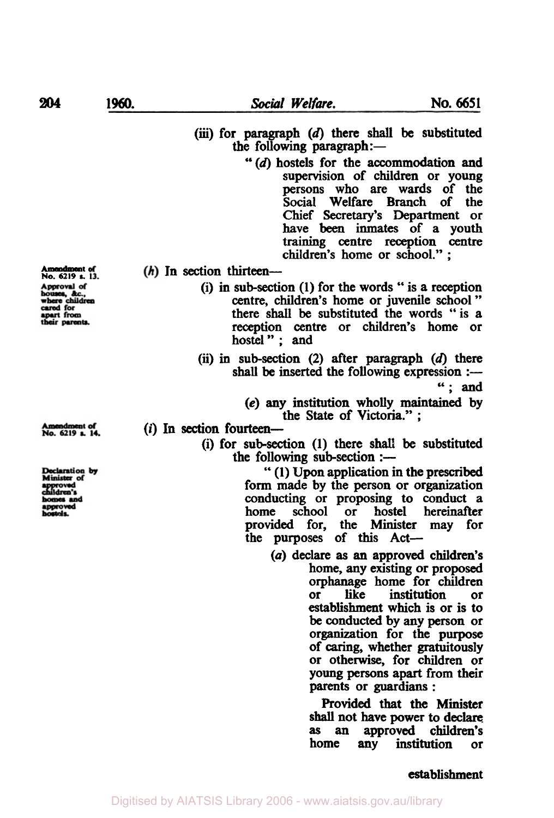## (iii) for paragraph (d) there **shall** be substituted the following paragraph:-

- **"(d)** hostels for the accommodation and supervision of children or young persons who are wards of the Social Welfare Branch of Chief Secretary's Department or have been inmates of a youth training **centre** reception centre children's home or school." ;
- (h) In section thirteen-
	- (i) in sub-section **(1)** for the words " is **a** reception centre, children's home or juvenile school " there **shall be** substituted the words "is **a**  reception centre or children's home or hostel" : and
	- (ii) in sub-section **(2)** after paragraph (d) there shall be inserted the following expression  $:$

"; and

**(e)** any institution wholly maintained by the State of Victoria." ;

## *(i)* In **section** fourteen-

(i) for sub-section **(1)** there **shall** be substituted the following sub-section  $:$ ---

> b' (I) **Upon** application in the prescribed form made by the person or organization conducting or proposing to conduct a<br>home school or hostel hereinafter or hostel hereinafter provided for, the Minister may for the purposes of **this Act-**

> > *(a)* declare **as** an approved children's home, any existing or proposed **orphanage** home for children or like institution **or**  establishment which is or is to be conducted by any **person** or organization for the purpose of caring, whether gratuitously or otherwise, for children or young **persons** apart from their **parents** or guardians :

> > > Provided that the **Minister shall** not have power **to** declare **as** an approved children's home any institution or

houses, &c.,<br>where children<br>cared for<br>apart from heir parents.

**Amendment No. 6219** *s.* <sup>1</sup>

Amendment of<br>No. 6219 s. 14.

Declaration by<br>Minister of ildren's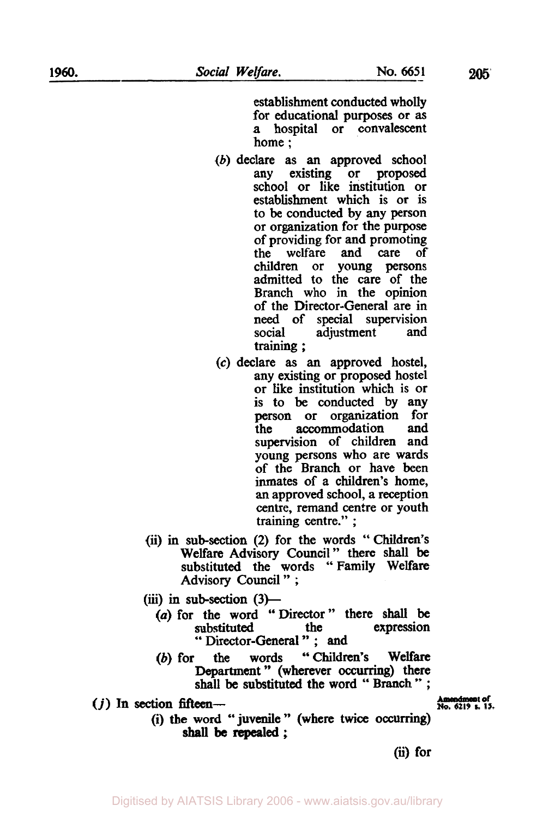establishment conducted wholly for educational purposes or **as**  a hospital or convalescent home ;

- (b) declare as an approved school any existing or proposed school or like institution or establishment which is or is to be conducted by any person or organization for the purpose of providing for and promoting<br>the welfare and care of the welfare and care of<br>children or young persons or young persons admitted to the care of the Branch who in the opinion of the Director-General are in need of special supervision<br>social adjustment and adjustment and training ;
- *(c)* declare as an approved hostel, any existing or proposed hostel or like institution which is or is to be conducted by any<br>person or organization for organization for the accommodation and supervision of children and young persons who are wards of the Branch or have been inmates of a children's home, **an** approved school, a reception centre, remand centre or youth training centre." ;
- (ii) in sub-section **(2)** for the words "Children's Welfare Advisory Council" there **shall** be substituted the words "Family Welfare Advisory Council " ;
- (iii) in sub-section  $(3)$ 
	- *(a)* for the word "Director" there **shall** be substituted " Director-General "; and<br>the words "Children's
	- (b) for the words " Children's Welfare Department" (wherever **Occurring)** there shall be substituted the word " Branch " ;<br>  $\frac{1}{100}$  Amendment of<br>
	No. 6219 s. 15.
- $(j)$  In section fifteen-

(i) the word "juvenile" (where twice **occurring) shall be repealed** ;

*(ii)* for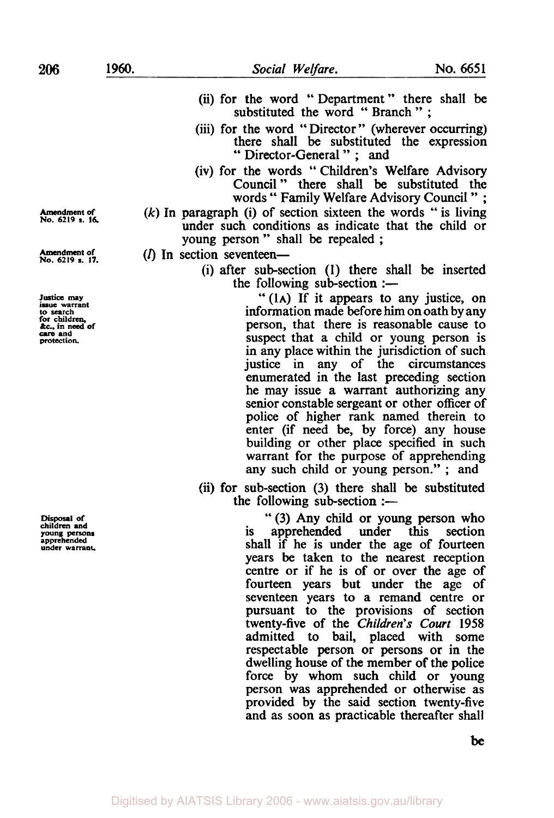- (ii) for the word "Department" there shall be substituted the word "Branch";
- (iii) for the word "Director" (wherever occurring) there shall be substituted the expression '' Director-General " ; and
- (iv) for the words " Children's Welfare Advisory Council " there shall be substituted the words " Family Welfare Advisory Council " ;
- *(k)* In paragraph (i) of section sixteen the words " is living under such conditions as indicate that the child or young person " shall be repealed ;
- $(I)$  In section seventeen-
	- (i) after sub-section **(1)** there shall be inserted the following sub-section  $:$

**"(1A)** If it appears to any justice, on information made before him **on** oath by any person, that there is reasonable cause to suspect that a child or young person is in any place within the jurisdiction of such justice in any of the circumstances enumerated in the last preceding section he may issue a warrant authorizing any senior constable sergeant or other officer of police of higher rank named therein to enter (if need be, by force) any house building or other place specified in such warrant for the purpose of apprehending any such child or young person." ; and

(ii) for sub-section (3) there shall be substituted the following sub-section  $:$ -

> " (3) Any child or young person who is apprehended under this shall if he is under the age of fourteen years be taken to the nearest reception centre or if he is of or over the age of fourteen years but under the age of seventeen years to a remand centre or pursuant to the provisions of section twenty-five of the *Children's Court* **1958**  admitted to bail, placed with some respectable person or persons or in the dwelling house of the member of the police force by whom such child or young person was apprehended or otherwise as provided by the said section twenty-five and as soon **as** practicable thereafter shall

**Amendment** *of*  **No. 6219** *s. 16.* 

**Amendment of No. <sup>6219</sup>***s. 17.* 

**Justice may issue warrant to search for children, &c., in need of** *care* **and protection.** 

**Disposal of children and young persons apprehended under warrant.** 

**be**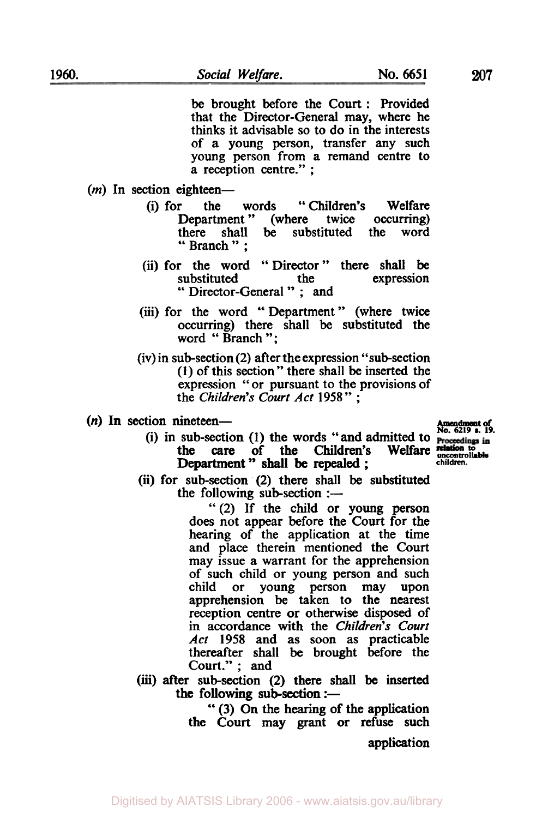be brought before the Court : Provided that the Director-General may, where he thinks it advisable **so** to **do** in the interests of a young person, transfer any such young person from a remand centre to a reception centre." ;

- (*m*) In section eighteen-
	- (i) for the words "Children's Welfare<br>Department" (where twice occurring) Department" (where twice occurring)<br>there shall be substituted the word there shall be substituted " Branch " ;
	- (ii) for the word "Director" there shall be substituted the expression " Director-General " ; and
	- (iii) for the word "Department" (where twice occurring) there shall be substituted the word " Branch ";
	- (iv) in sub-section (2) after the expression "sub-section **(1)** of this section" there shall be inserted the (1) or this section " there shall be inserted the expression " or pursuant to the provisions of the *Children's Court Act* **1958**";
- $(n)$  In section nineteen-<br> $\frac{1}{2}$  Amendment of **Amendment of Amendment** of **Algorithment** *No.* **6219 s.** 19.

(i) in sub-section (1) the words "and admitted to  $\frac{N_0.6219 \text{ s. } 19.}{\text{Proceedings in}}$ 

*(ii)* for sub-section **(2)** there shall be substituted the care of the Children's Welfare **relation to Department**" shall be repealed;

> "(2) If the child **or** young person does not appear before the Court for the hearing of the application at the time and place therein mentioned the Court may issue a warrant for the apprehension of such child or young person and such child **or** young person may upon apprehension be taken to the nearest reception centre or otherwise disposed of in accordance with the *Children's Court Act* **1958** and as soon as practicable thereafter shall be brought before the Court." ; and the following sub-section  $:$ —

**(iii)** after sub-section **(2)** there **shall be** inserted the following sub-section  $:$ --

> '' (3) On the hearing **of** the application the Court may grant **or** refuse such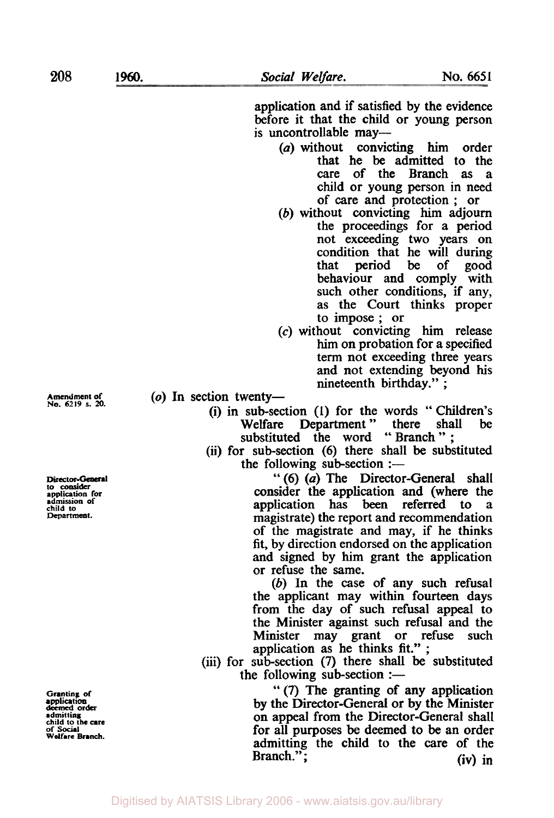**208** 

application and if satisfied by the evidence before it that the child or young person is uncontrollable may-

- *(a)* without convicting him order that he be admitted to the care of the Branch as a child or young person in need of care and protection ; or
- (b) without convicting him adjourn the proceedings for a period not exceeding two years on condition that he will during<br>that period be of good that period be of behaviour and comply with such other conditions, if any, as the Court thinks proper to impose ; or
- *(c)* without convicting him release him on probation for a specified term not exceeding three years and not extending beyond his nineteenth birthday." ;
- (o) In section twenty-
	- (i) in sub-section **(1)** for the words " Children's sub-section (1) for the words<br>Welfare Department " there shall be Welfare Department" there shall<br>substituted the word "Branch":
	- (ii) for sub-section (6) there shall be substituted the following sub-section  $:$

" (6) *(a)* The Director-General shall consider the application and (where the application has been referred to a application has been referred to a magistrate) the report and recommendation of the magistrate and may, if he thinks fit, by direction endorsed on the application and signed by him grant the application or refuse the same.

(b) In the case of any such refusal the applicant may within fourteen days from the day of such refusal appeal to the Minister against such refusal and the Minister may grant or refuse such application as he thinks fit." ;

(iii) for sub-section (7) there shall be substituted the following sub-section :-

> *"(7)* The granting of any application **by** the Director-General or by the Minister on appeal from the Director-General shall for all purposes be deemed to be an order admitting the child to the care of the Branch."; (iv) in

**Amendment of Ne. 6219 s. 20.** 

Director-General **to** consider **application for admission of child to Department.** 

**Granting of**  deemed **order admitting child to the are of** *Sociall*  **welfare Branch. application**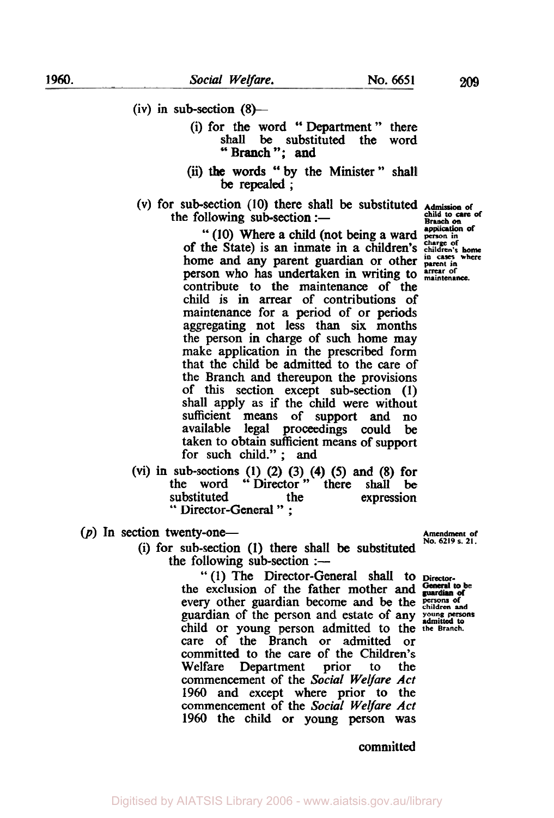- $(iv)$  in sub-section  $(8)$ 
	- (i) for the word "Department" there<br>shall be substituted the word shall be substituted the "Branch"; and
	- by the Minister" shall (ii) the words **be** repealed ;
- (V) for sub-section **(10)** there shall be substituted **Admission of**  the following sub-section  $:$

**Branch** *on* **application of**  " **(10)** Where a child (not being a ward *person in charge of*  of the State) is an inmate in a children's **children's home**  home and any parent guardian or other **in cases where parent in**  person who has undertaken in writing to **arrear of maintenance**  contribute to the maintenance of the child is in arrear of contributions *of*  maintenance for a period of or periods aggregating not less than six months the person in charge of such home may make application in the prescribed form that the child be admitted to the care of the Branch and thereupon the provisions of this section except sub-section (I) shall apply as if the child were without sufficient **means** of support and **no**  available legal proceedings could be taken to obtain sufficient means of support for such child." ; and

- (vi) in sub-sections **(1) (2)** (3) **(4)** *(5)* and (8) for the word "Director" there shall be substituted the expression<br>" Director-General " ;
- $(p)$  In section twenty-one--
	- (i) for sub-section **(1)** there shall be substituted the following sub-section  $:$ --

b' (I) The Director-General shall to **Director**the exclusion of the father mother and General to b every other guardian become and be the **persons** of child or young person admitted to the the Branch. care of the Branch or admitted or committed to the care of the Children's Department prior to the commencement of the *Social Welfare* Act **1960** and except where prior to the commencement of the *Social Welfare* Act 1960 the child or young person was **guardian** of the person and estate of any *persons* persons and  $\frac{1}{2}$ .

**Amendment of** 

committed

**child to care of**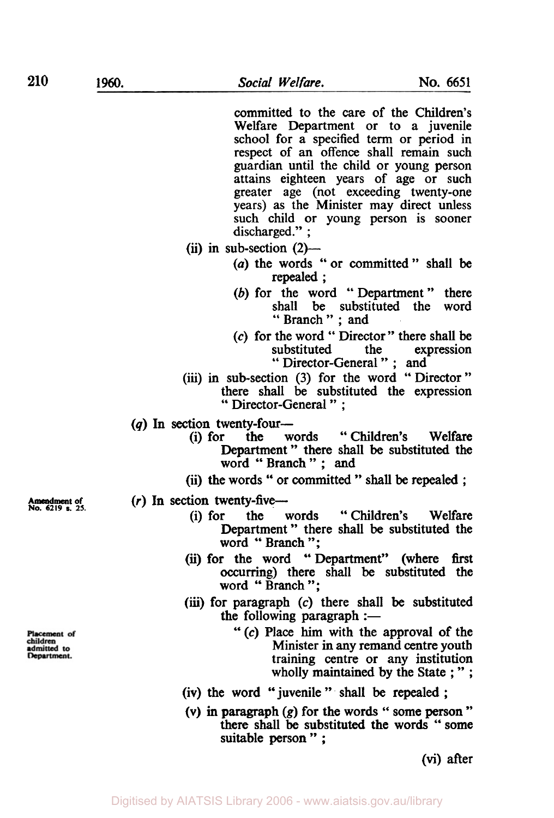committed to the care of the Children's Welfare Department or to a juvenile school for a specified term or period in respect of an offence shall remain such guardian until the child or young person attains eighteen years of age or such greater age (not exceeding twenty-one years) as the Minister may direct unless such child or young person is sooner discharged.":

- $(iii)$  in sub-section  $(2)$ 
	- *(a)* the words " or committed " shall be repealed ;
	- (b) for the word "Department" there shall be substituted the word " Branch " ; and
	- *(c)* for the word " Director" there shall be " Director-General " ; and
- (iii) in sub-section (3) for the word "Director" there shall be substituted the expression " Director-General " ;
- (q) In section twenty-four-<br>(i) for the words
	- "Children's Welfare Department " there shall be substituted the word " Branch " ; and
		- (ii) the words " or committed " shall be repealed ;

- Amendment of **(r) In** section twenty-five--<br> **No. 6219 s. 25. (i) for the words "Children's Welfare** Department" there shall be substituted the word "Branch";
	- (ii) for the word "Department" (where first occurring) there shall be substituted the word " Branch ";
	- **(iii)** for paragraph *(c)* there shall **be** substituted the following paragraph  $:$ 
		- " *(c)* Place **him** with the approval of the Minister in any remand centre youth training centre or any institution wholly maintained by the State ; ";
	- (iv) the word " juvenile " shall be repealed :
	- (v) in paragraph *(g)* for the words " some person " there shall be substituted the words '' some suitable person" :

(vi) after

Placement of children dmitted to Department.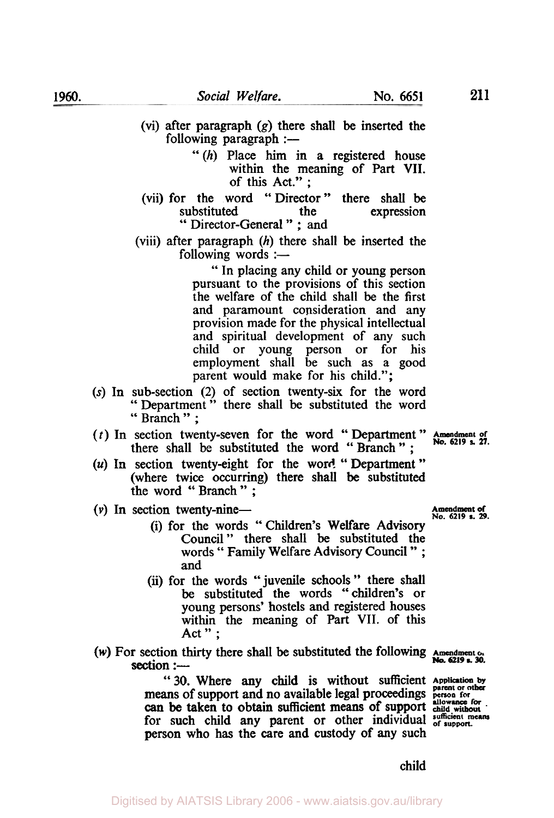- (vi) after paragraph **(g)** there shall be inserted the following paragraph  $:$ -
	- "(h) Place him in a registered house within the meaning of Part VII. of this Act." ;
- (vii) for the word "Director" there shall be substituted the expression " Director-General " ; and
- (viii) after paragraph (h) there shall be inserted the following words  $:$   $-$

" In placing any child or young person pursuant to the provisions of this section the welfare of the child shall be the first and paramount consideration and any provision made for the physical intellectual and spiritual development of any such child or young person or for his employment shall be such as a good parent would make for his child.";

- **(s)** In sub-section (2) of section twenty-six for the word " Department " there shall be substituted the word " Branch " ;
- (t) In section twenty-seven for the word " Department " **Amendment** of section twenty-seven for the word "Department" Amendment of there shall be substituted the word "Branch"; No. 6219 **s.** 27.
- *(u)* In section twenty-eight for the word " Department " (where twice occurring) there shall be substituted the word " Branch " ;
- (v) In section twenty-nine-<br> $\frac{A_{\text{meandment of}}}{N_0.6219 \text{ s. } 29.}$ 
	- (i) for the words "Children's Welfare Advisory Council " there shall be substituted the words " Family Welfare Advisory Council " ; and
	- (ii) for the words "juvenile schools" there shall be substituted the words "children's or young persons' hostels and registered houses within the meaning of Part VII. of this Act":
- *(w)* For section thirty there shall be substituted the following **Amendment of. No. 6219 s. 30.** section :-

**"30.** Where **any** child is without sufficient *Application by parent or other*  **means of support and no available legal proceedings person for one for**  *person to the all proceedings*. for such child any parent or other individual sufficient means person who has the care and custody of any such can be taken to obtain sufficient means of support **child without** 

child